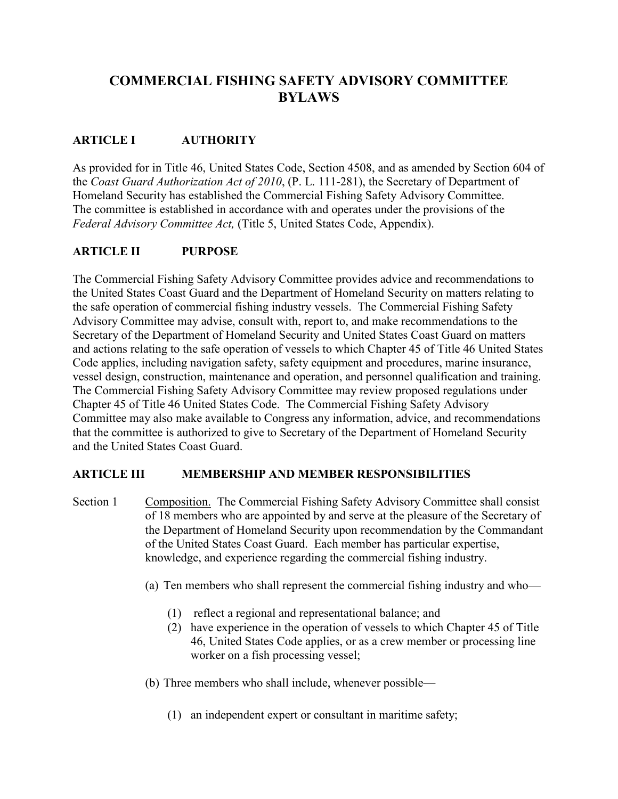# **COMMERCIAL FISHING SAFETY ADVISORY COMMITTEE BYLAWS**

#### **ARTICLE I AUTHORITY**

As provided for in Title 46, United States Code, Section 4508, and as amended by Section 604 of the *Coast Guard Authorization Act of 2010*, (P. L. 111-281), the Secretary of Department of Homeland Security has established the Commercial Fishing Safety Advisory Committee. The committee is established in accordance with and operates under the provisions of the *Federal Advisory Committee Act,* (Title 5, United States Code, Appendix).

#### **ARTICLE II PURPOSE**

The Commercial Fishing Safety Advisory Committee provides advice and recommendations to the United States Coast Guard and the Department of Homeland Security on matters relating to the safe operation of commercial fishing industry vessels. The Commercial Fishing Safety Advisory Committee may advise, consult with, report to, and make recommendations to the Secretary of the Department of Homeland Security and United States Coast Guard on matters and actions relating to the safe operation of vessels to which Chapter 45 of Title 46 United States Code applies, including navigation safety, safety equipment and procedures, marine insurance, vessel design, construction, maintenance and operation, and personnel qualification and training. The Commercial Fishing Safety Advisory Committee may review proposed regulations under Chapter 45 of Title 46 United States Code. The Commercial Fishing Safety Advisory Committee may also make available to Congress any information, advice, and recommendations that the committee is authorized to give to Secretary of the Department of Homeland Security and the United States Coast Guard.

#### **ARTICLE III MEMBERSHIP AND MEMBER RESPONSIBILITIES**

Section 1 Composition. The Commercial Fishing Safety Advisory Committee shall consist of 18 members who are appointed by and serve at the pleasure of the Secretary of the Department of Homeland Security upon recommendation by the Commandant of the United States Coast Guard. Each member has particular expertise, knowledge, and experience regarding the commercial fishing industry.

- (a) Ten members who shall represent the commercial fishing industry and who—
	- (1) reflect a regional and representational balance; and
	- (2) have experience in the operation of vessels to which Chapter 45 of Title 46, United States Code applies, or as a crew member or processing line worker on a fish processing vessel;
- (b) Three members who shall include, whenever possible—
	- (1) an independent expert or consultant in maritime safety;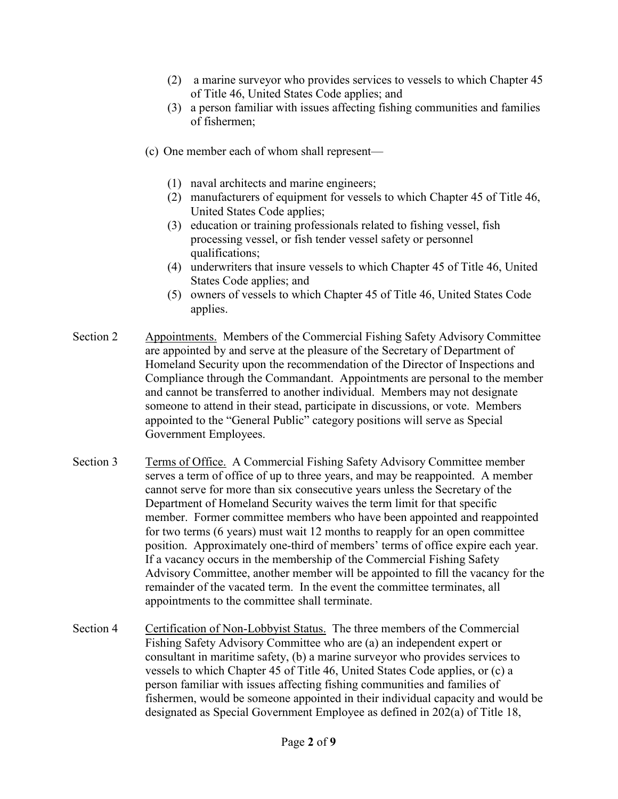- (2) a marine surveyor who provides services to vessels to which Chapter 45 of Title 46, United States Code applies; and
- (3) a person familiar with issues affecting fishing communities and families of fishermen;
- (c) One member each of whom shall represent—
	- (1) naval architects and marine engineers;
	- (2) manufacturers of equipment for vessels to which Chapter 45 of Title 46, United States Code applies;
	- (3) education or training professionals related to fishing vessel, fish processing vessel, or fish tender vessel safety or personnel qualifications;
	- (4) underwriters that insure vessels to which Chapter 45 of Title 46, United States Code applies; and
	- (5) owners of vessels to which Chapter 45 of Title 46, United States Code applies.
- Section 2 Appointments. Members of the Commercial Fishing Safety Advisory Committee are appointed by and serve at the pleasure of the Secretary of Department of Homeland Security upon the recommendation of the Director of Inspections and Compliance through the Commandant. Appointments are personal to the member and cannot be transferred to another individual. Members may not designate someone to attend in their stead, participate in discussions, or vote. Members appointed to the "General Public" category positions will serve as Special Government Employees.
- Section 3 Terms of Office. A Commercial Fishing Safety Advisory Committee member serves a term of office of up to three years, and may be reappointed. A member cannot serve for more than six consecutive years unless the Secretary of the Department of Homeland Security waives the term limit for that specific member. Former committee members who have been appointed and reappointed for two terms (6 years) must wait 12 months to reapply for an open committee position. Approximately one-third of members' terms of office expire each year. If a vacancy occurs in the membership of the Commercial Fishing Safety Advisory Committee, another member will be appointed to fill the vacancy for the remainder of the vacated term.In the event the committee terminates, all appointments to the committee shall terminate.
- Section 4 Certification of Non-Lobbyist Status. The three members of the Commercial Fishing Safety Advisory Committee who are (a) an independent expert or consultant in maritime safety, (b) a marine surveyor who provides services to vessels to which Chapter 45 of Title 46, United States Code applies, or (c) a person familiar with issues affecting fishing communities and families of fishermen, would be someone appointed in their individual capacity and would be designated as Special Government Employee as defined in 202(a) of Title 18,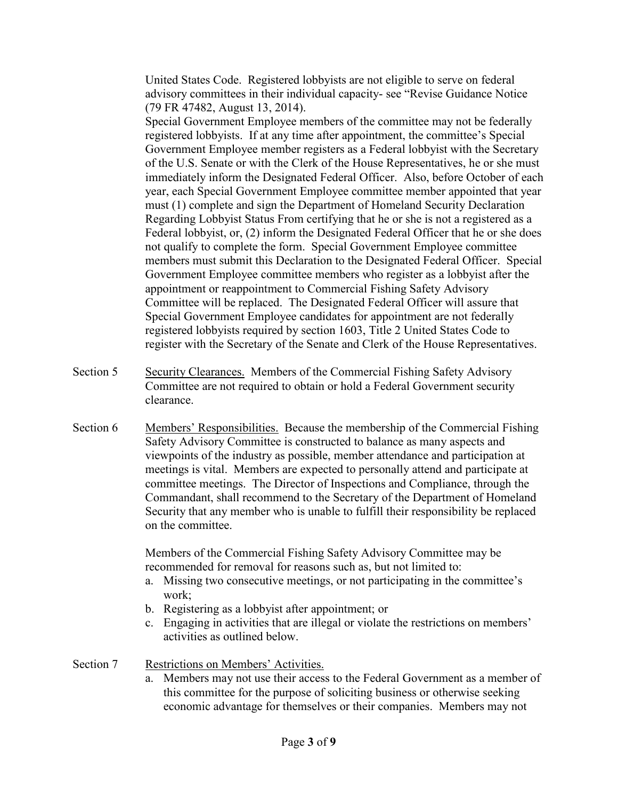United States Code. Registered lobbyists are not eligible to serve on federal advisory committees in their individual capacity- see "Revise Guidance Notice (79 FR 47482, August 13, 2014).

Special Government Employee members of the committee may not be federally registered lobbyists. If at any time after appointment, the committee's Special Government Employee member registers as a Federal lobbyist with the Secretary of the U.S. Senate or with the Clerk of the House Representatives, he or she must immediately inform the Designated Federal Officer. Also, before October of each year, each Special Government Employee committee member appointed that year must (1) complete and sign the Department of Homeland Security Declaration Regarding Lobbyist Status From certifying that he or she is not a registered as a Federal lobbyist, or, (2) inform the Designated Federal Officer that he or she does not qualify to complete the form. Special Government Employee committee members must submit this Declaration to the Designated Federal Officer. Special Government Employee committee members who register as a lobbyist after the appointment or reappointment to Commercial Fishing Safety Advisory Committee will be replaced. The Designated Federal Officer will assure that Special Government Employee candidates for appointment are not federally registered lobbyists required by section 1603, Title 2 United States Code to register with the Secretary of the Senate and Clerk of the House Representatives.

- Section 5 Security Clearances. Members of the Commercial Fishing Safety Advisory Committee are not required to obtain or hold a Federal Government security clearance.
- Section 6 Members' Responsibilities. Because the membership of the Commercial Fishing Safety Advisory Committee is constructed to balance as many aspects and viewpoints of the industry as possible, member attendance and participation at meetings is vital. Members are expected to personally attend and participate at committee meetings. The Director of Inspections and Compliance, through the Commandant, shall recommend to the Secretary of the Department of Homeland Security that any member who is unable to fulfill their responsibility be replaced on the committee.

Members of the Commercial Fishing Safety Advisory Committee may be recommended for removal for reasons such as, but not limited to:

- a. Missing two consecutive meetings, or not participating in the committee's work;
- b. Registering as a lobbyist after appointment; or
- c. Engaging in activities that are illegal or violate the restrictions on members' activities as outlined below.
- Section 7 Restrictions on Members' Activities.
	- a. Members may not use their access to the Federal Government as a member of this committee for the purpose of soliciting business or otherwise seeking economic advantage for themselves or their companies. Members may not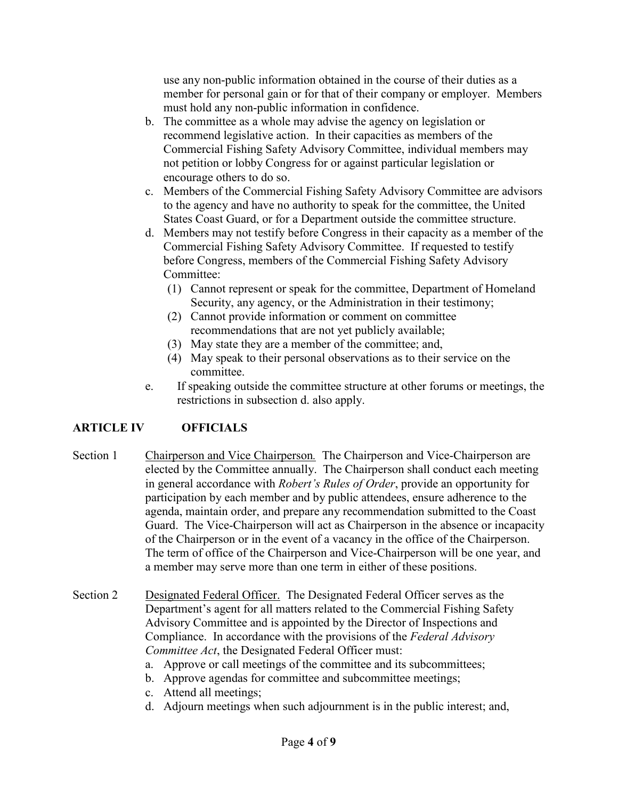use any non-public information obtained in the course of their duties as a member for personal gain or for that of their company or employer. Members must hold any non-public information in confidence.

- b. The committee as a whole may advise the agency on legislation or recommend legislative action. In their capacities as members of the Commercial Fishing Safety Advisory Committee, individual members may not petition or lobby Congress for or against particular legislation or encourage others to do so.
- c. Members of the Commercial Fishing Safety Advisory Committee are advisors to the agency and have no authority to speak for the committee, the United States Coast Guard, or for a Department outside the committee structure.
- d. Members may not testify before Congress in their capacity as a member of the Commercial Fishing Safety Advisory Committee. If requested to testify before Congress, members of the Commercial Fishing Safety Advisory Committee:
	- (1) Cannot represent or speak for the committee, Department of Homeland Security, any agency, or the Administration in their testimony;
	- (2) Cannot provide information or comment on committee recommendations that are not yet publicly available;
	- (3) May state they are a member of the committee; and,
	- (4) May speak to their personal observations as to their service on the committee.
- e. If speaking outside the committee structure at other forums or meetings, the restrictions in subsection d. also apply.

### **ARTICLE IV OFFICIALS**

- Section 1 Chairperson and Vice Chairperson*.* The Chairperson and Vice-Chairperson are elected by the Committee annually. The Chairperson shall conduct each meeting in general accordance with *Robert's Rules of Order*, provide an opportunity for participation by each member and by public attendees, ensure adherence to the agenda, maintain order, and prepare any recommendation submitted to the Coast Guard. The Vice-Chairperson will act as Chairperson in the absence or incapacity of the Chairperson or in the event of a vacancy in the office of the Chairperson. The term of office of the Chairperson and Vice-Chairperson will be one year, and a member may serve more than one term in either of these positions.
- Section 2 Designated Federal Officer. The Designated Federal Officer serves as the Department's agent for all matters related to the Commercial Fishing Safety Advisory Committee and is appointed by the Director of Inspections and Compliance. In accordance with the provisions of the *Federal Advisory Committee Act*, the Designated Federal Officer must:
	- a. Approve or call meetings of the committee and its subcommittees;
	- b. Approve agendas for committee and subcommittee meetings;
	- c. Attend all meetings;
	- d. Adjourn meetings when such adjournment is in the public interest; and,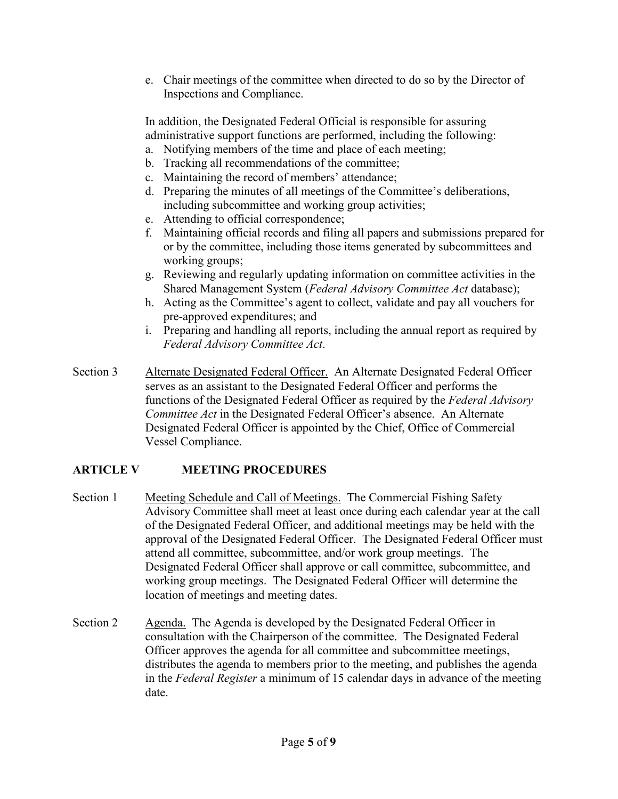e. Chair meetings of the committee when directed to do so by the Director of Inspections and Compliance.

In addition, the Designated Federal Official is responsible for assuring administrative support functions are performed, including the following:

- a. Notifying members of the time and place of each meeting;
- b. Tracking all recommendations of the committee;
- c. Maintaining the record of members' attendance;
- d. Preparing the minutes of all meetings of the Committee's deliberations, including subcommittee and working group activities;
- e. Attending to official correspondence;
- f. Maintaining official records and filing all papers and submissions prepared for or by the committee, including those items generated by subcommittees and working groups;
- g. Reviewing and regularly updating information on committee activities in the Shared Management System (*Federal Advisory Committee Act* database);
- h. Acting as the Committee's agent to collect, validate and pay all vouchers for pre-approved expenditures; and
- i. Preparing and handling all reports, including the annual report as required by *Federal Advisory Committee Act*.
- Section 3 Alternate Designated Federal Officer. An Alternate Designated Federal Officer serves as an assistant to the Designated Federal Officer and performs the functions of the Designated Federal Officer as required by the *Federal Advisory Committee Act* in the Designated Federal Officer's absence. An Alternate Designated Federal Officer is appointed by the Chief, Office of Commercial Vessel Compliance.

### **ARTICLE V MEETING PROCEDURES**

- Section 1 Meeting Schedule and Call of Meetings. The Commercial Fishing Safety Advisory Committee shall meet at least once during each calendar year at the call of the Designated Federal Officer, and additional meetings may be held with the approval of the Designated Federal Officer. The Designated Federal Officer must attend all committee, subcommittee, and/or work group meetings. The Designated Federal Officer shall approve or call committee, subcommittee, and working group meetings. The Designated Federal Officer will determine the location of meetings and meeting dates.
- Section 2 Agenda. The Agenda is developed by the Designated Federal Officer in consultation with the Chairperson of the committee. The Designated Federal Officer approves the agenda for all committee and subcommittee meetings, distributes the agenda to members prior to the meeting, and publishes the agenda in the *Federal Register* a minimum of 15 calendar days in advance of the meeting date.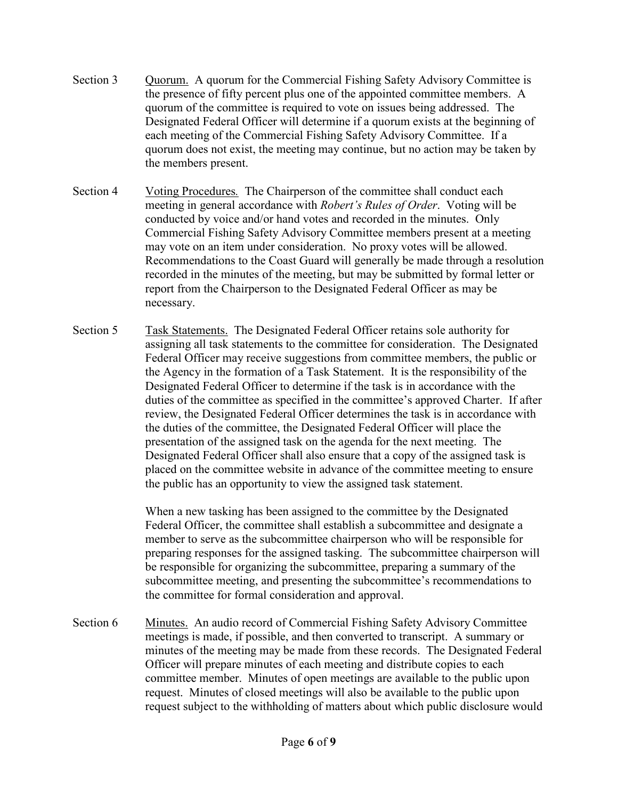- Section 3 Quorum. A quorum for the Commercial Fishing Safety Advisory Committee is the presence of fifty percent plus one of the appointed committee members. A quorum of the committee is required to vote on issues being addressed. The Designated Federal Officer will determine if a quorum exists at the beginning of each meeting of the Commercial Fishing Safety Advisory Committee. If a quorum does not exist, the meeting may continue, but no action may be taken by the members present.
- Section 4 Voting Procedures*.* The Chairperson of the committee shall conduct each meeting in general accordance with *Robert's Rules of Order*. Voting will be conducted by voice and/or hand votes and recorded in the minutes. Only Commercial Fishing Safety Advisory Committee members present at a meeting may vote on an item under consideration. No proxy votes will be allowed. Recommendations to the Coast Guard will generally be made through a resolution recorded in the minutes of the meeting, but may be submitted by formal letter or report from the Chairperson to the Designated Federal Officer as may be necessary.
- Section 5 Task Statements. The Designated Federal Officer retains sole authority for assigning all task statements to the committee for consideration. The Designated Federal Officer may receive suggestions from committee members, the public or the Agency in the formation of a Task Statement. It is the responsibility of the Designated Federal Officer to determine if the task is in accordance with the duties of the committee as specified in the committee's approved Charter. If after review, the Designated Federal Officer determines the task is in accordance with the duties of the committee, the Designated Federal Officer will place the presentation of the assigned task on the agenda for the next meeting. The Designated Federal Officer shall also ensure that a copy of the assigned task is placed on the committee website in advance of the committee meeting to ensure the public has an opportunity to view the assigned task statement.

When a new tasking has been assigned to the committee by the Designated Federal Officer, the committee shall establish a subcommittee and designate a member to serve as the subcommittee chairperson who will be responsible for preparing responses for the assigned tasking. The subcommittee chairperson will be responsible for organizing the subcommittee, preparing a summary of the subcommittee meeting, and presenting the subcommittee's recommendations to the committee for formal consideration and approval.

Section 6 Minutes. An audio record of Commercial Fishing Safety Advisory Committee meetings is made, if possible, and then converted to transcript. A summary or minutes of the meeting may be made from these records. The Designated Federal Officer will prepare minutes of each meeting and distribute copies to each committee member. Minutes of open meetings are available to the public upon request. Minutes of closed meetings will also be available to the public upon request subject to the withholding of matters about which public disclosure would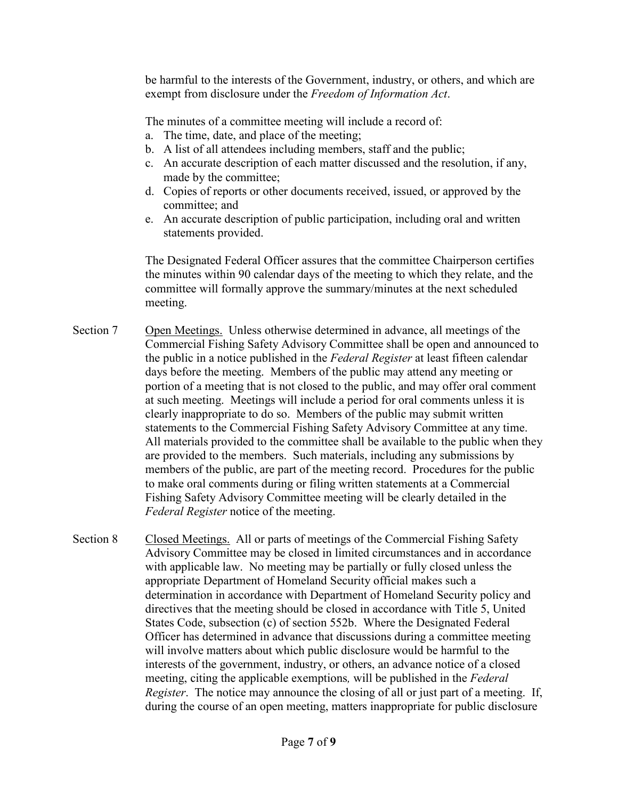be harmful to the interests of the Government, industry, or others, and which are exempt from disclosure under the *Freedom of Information Act*.

The minutes of a committee meeting will include a record of:

- a. The time, date, and place of the meeting;
- b. A list of all attendees including members, staff and the public;
- c. An accurate description of each matter discussed and the resolution, if any, made by the committee;
- d. Copies of reports or other documents received, issued, or approved by the committee; and
- e. An accurate description of public participation, including oral and written statements provided.

The Designated Federal Officer assures that the committee Chairperson certifies the minutes within 90 calendar days of the meeting to which they relate, and the committee will formally approve the summary/minutes at the next scheduled meeting.

- Section 7 Open Meetings. Unless otherwise determined in advance, all meetings of the Commercial Fishing Safety Advisory Committee shall be open and announced to the public in a notice published in the *Federal Register* at least fifteen calendar days before the meeting. Members of the public may attend any meeting or portion of a meeting that is not closed to the public, and may offer oral comment at such meeting. Meetings will include a period for oral comments unless it is clearly inappropriate to do so. Members of the public may submit written statements to the Commercial Fishing Safety Advisory Committee at any time. All materials provided to the committee shall be available to the public when they are provided to the members. Such materials, including any submissions by members of the public, are part of the meeting record. Procedures for the public to make oral comments during or filing written statements at a Commercial Fishing Safety Advisory Committee meeting will be clearly detailed in the *Federal Register* notice of the meeting.
- Section 8 Closed Meetings. All or parts of meetings of the Commercial Fishing Safety Advisory Committee may be closed in limited circumstances and in accordance with applicable law. No meeting may be partially or fully closed unless the appropriate Department of Homeland Security official makes such a determination in accordance with Department of Homeland Security policy and directives that the meeting should be closed in accordance with Title 5, United States Code, subsection (c) of section 552b. Where the Designated Federal Officer has determined in advance that discussions during a committee meeting will involve matters about which public disclosure would be harmful to the interests of the government, industry, or others, an advance notice of a closed meeting, citing the applicable exemptions*,* will be published in the *Federal Register*. The notice may announce the closing of all or just part of a meeting. If, during the course of an open meeting, matters inappropriate for public disclosure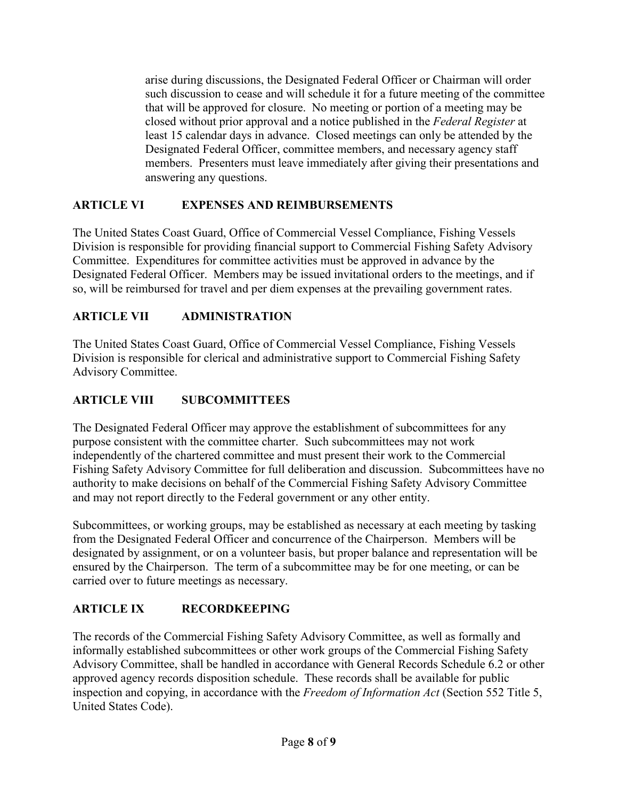arise during discussions, the Designated Federal Officer or Chairman will order such discussion to cease and will schedule it for a future meeting of the committee that will be approved for closure. No meeting or portion of a meeting may be closed without prior approval and a notice published in the *Federal Register* at least 15 calendar days in advance. Closed meetings can only be attended by the Designated Federal Officer, committee members, and necessary agency staff members. Presenters must leave immediately after giving their presentations and answering any questions.

## **ARTICLE VI EXPENSES AND REIMBURSEMENTS**

The United States Coast Guard, Office of Commercial Vessel Compliance, Fishing Vessels Division is responsible for providing financial support to Commercial Fishing Safety Advisory Committee. Expenditures for committee activities must be approved in advance by the Designated Federal Officer. Members may be issued invitational orders to the meetings, and if so, will be reimbursed for travel and per diem expenses at the prevailing government rates.

## **ARTICLE VII ADMINISTRATION**

The United States Coast Guard, Office of Commercial Vessel Compliance, Fishing Vessels Division is responsible for clerical and administrative support to Commercial Fishing Safety Advisory Committee.

## **ARTICLE VIII SUBCOMMITTEES**

The Designated Federal Officer may approve the establishment of subcommittees for any purpose consistent with the committee charter. Such subcommittees may not work independently of the chartered committee and must present their work to the Commercial Fishing Safety Advisory Committee for full deliberation and discussion. Subcommittees have no authority to make decisions on behalf of the Commercial Fishing Safety Advisory Committee and may not report directly to the Federal government or any other entity.

Subcommittees, or working groups, may be established as necessary at each meeting by tasking from the Designated Federal Officer and concurrence of the Chairperson. Members will be designated by assignment, or on a volunteer basis, but proper balance and representation will be ensured by the Chairperson. The term of a subcommittee may be for one meeting, or can be carried over to future meetings as necessary.

### **ARTICLE IX RECORDKEEPING**

The records of the Commercial Fishing Safety Advisory Committee, as well as formally and informally established subcommittees or other work groups of the Commercial Fishing Safety Advisory Committee, shall be handled in accordance with General Records Schedule 6.2 or other approved agency records disposition schedule. These records shall be available for public inspection and copying, in accordance with the *Freedom of Information Act* (Section 552 Title 5, United States Code).